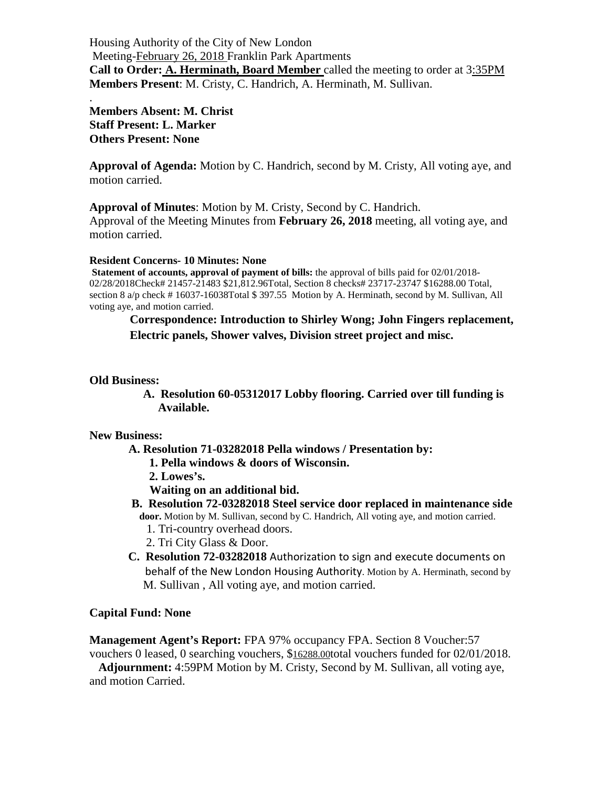Housing Authority of the City of New London Meeting-February 26, 2018 Franklin Park Apartments **Call to Order: A. Herminath, Board Member** called the meeting to order at 3:35PM **Members Present**: M. Cristy, C. Handrich, A. Herminath, M. Sullivan.

**Members Absent: M. Christ Staff Present: L. Marker Others Present: None**

.

**Approval of Agenda:** Motion by C. Handrich, second by M. Cristy, All voting aye, and motion carried.

**Approval of Minutes**: Motion by M. Cristy, Second by C. Handrich.

Approval of the Meeting Minutes from **February 26, 2018** meeting, all voting aye, and motion carried.

**Resident Concerns- 10 Minutes: None**

**Statement of accounts, approval of payment of bills:** the approval of bills paid for 02/01/2018-02/28/2018Check# 21457-21483 \$21,812.96Total, Section 8 checks# 23717-23747 \$16288.00 Total, section 8 a/p check # 16037-16038Total \$ 397.55 Motion by A. Herminath, second by M. Sullivan, All voting aye, and motion carried.

### **Correspondence: Introduction to Shirley Wong; John Fingers replacement, Electric panels, Shower valves, Division street project and misc.**

### **Old Business:**

 **A. Resolution 60-05312017 Lobby flooring. Carried over till funding is Available.**

#### **New Business:**

- **A. Resolution 71-03282018 Pella windows / Presentation by:**
	- **1. Pella windows & doors of Wisconsin.**
	- **2. Lowes's.**
	- **Waiting on an additional bid.**

# **B. Resolution 72-03282018 Steel service door replaced in maintenance side door.** Motion by M. Sullivan, second by C. Handrich, All voting aye, and motion carried.

- 1. Tri-country overhead doors.
- 2. Tri City Glass & Door.
- **C. Resolution 72-03282018** Authorization to sign and execute documents on behalf of the New London Housing Authority. Motion by A. Herminath, second by M. Sullivan , All voting aye, and motion carried.

### **Capital Fund: None**

**Management Agent's Report:** FPA 97% occupancy FPA. Section 8 Voucher:57 vouchers 0 leased, 0 searching vouchers, \$16288.00total vouchers funded for 02/01/2018.

 **Adjournment:** 4:59PM Motion by M. Cristy, Second by M. Sullivan, all voting aye, and motion Carried.